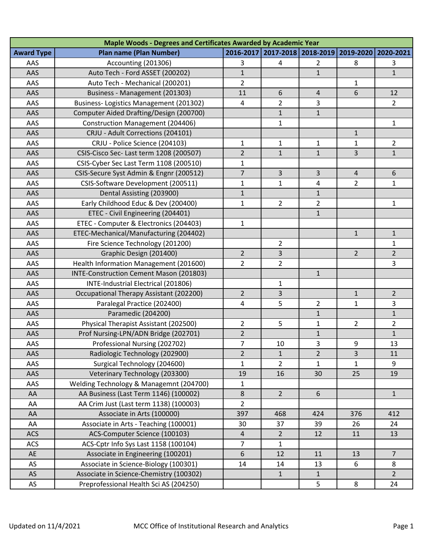| Maple Woods - Degrees and Certificates Awarded by Academic Year |                                         |                |                     |                |                |                |  |  |  |  |
|-----------------------------------------------------------------|-----------------------------------------|----------------|---------------------|----------------|----------------|----------------|--|--|--|--|
| <b>Award Type</b>                                               | <b>Plan name (Plan Number)</b>          | 2016-2017      | 2017-2018 2018-2019 |                | 2019-2020      | 2020-2021      |  |  |  |  |
| AAS                                                             | Accounting (201306)                     | 3              | 4                   | 2              | 8              | 3              |  |  |  |  |
| AAS                                                             | Auto Tech - Ford ASSET (200202)         | $\mathbf{1}$   |                     | $\overline{1}$ |                | $\overline{1}$ |  |  |  |  |
| AAS                                                             | Auto Tech - Mechanical (200201)         | $\overline{2}$ |                     |                | 1              |                |  |  |  |  |
| AAS                                                             | Business - Management (201303)          | 11             | 6                   | 4              | 6              | 12             |  |  |  |  |
| AAS                                                             | Business-Logistics Management (201302)  | $\overline{4}$ | 2                   | 3              |                | $\overline{2}$ |  |  |  |  |
| AAS                                                             | Computer Aided Drafting/Design (200700) |                | $\mathbf{1}$        | $\mathbf{1}$   |                |                |  |  |  |  |
| AAS                                                             | <b>Construction Management (204406)</b> |                | 1                   |                |                | $\mathbf{1}$   |  |  |  |  |
| AAS                                                             | CRJU - Adult Corrections (204101)       |                |                     |                | $\mathbf 1$    |                |  |  |  |  |
| AAS                                                             | CRJU - Police Science (204103)          | $\mathbf{1}$   | 1                   | 1              | $\mathbf{1}$   | $\overline{2}$ |  |  |  |  |
| AAS                                                             | CSIS-Cisco Sec- Last term 1208 (200507) | $\overline{2}$ | $\mathbf{1}$        | $\mathbf{1}$   | 3              | $\mathbf{1}$   |  |  |  |  |
| AAS                                                             | CSIS-Cyber Sec Last Term 1108 (200510)  | $\mathbf{1}$   |                     |                |                |                |  |  |  |  |
| AAS                                                             | CSIS-Secure Syst Admin & Engnr (200512) | $\overline{7}$ | 3                   | 3              | $\overline{4}$ | 6              |  |  |  |  |
| AAS                                                             | CSIS-Software Development (200511)      | 1              | 1                   | 4              | 2              | $\mathbf{1}$   |  |  |  |  |
| AAS                                                             | Dental Assisting (203900)               | $\mathbf{1}$   |                     | $\mathbf{1}$   |                |                |  |  |  |  |
| AAS                                                             | Early Childhood Educ & Dev (200400)     | $\mathbf{1}$   | $\overline{2}$      | $\overline{2}$ |                | $\mathbf{1}$   |  |  |  |  |
| AAS                                                             | ETEC - Civil Engineering (204401)       |                |                     | $\mathbf{1}$   |                |                |  |  |  |  |
| AAS                                                             | ETEC - Computer & Electronics (204403)  | 1              |                     |                |                |                |  |  |  |  |
| AAS                                                             | ETEC-Mechanical/Manufacturing (204402)  |                |                     |                | $\mathbf{1}$   | $\mathbf{1}$   |  |  |  |  |
| AAS                                                             | Fire Science Technology (201200)        |                | $\overline{2}$      |                |                | $\mathbf{1}$   |  |  |  |  |
| <b>AAS</b>                                                      | Graphic Design (201400)                 | $\overline{2}$ | 3                   |                | $\overline{2}$ | $\overline{2}$ |  |  |  |  |
| AAS                                                             | Health Information Management (201600)  | $\overline{2}$ | $\overline{2}$      |                |                | $\overline{3}$ |  |  |  |  |
| AAS                                                             | INTE-Construction Cement Mason (201803) |                |                     | $\mathbf{1}$   |                |                |  |  |  |  |
| AAS                                                             | INTE-Industrial Electrical (201806)     |                | 1                   |                |                |                |  |  |  |  |
| AAS                                                             | Occupational Therapy Assistant (202200) | $\overline{2}$ | 3                   |                | $\mathbf{1}$   | $\overline{2}$ |  |  |  |  |
| AAS                                                             | Paralegal Practice (202400)             | 4              | 5                   | $\overline{2}$ | $\mathbf{1}$   | 3              |  |  |  |  |
| AAS                                                             | Paramedic (204200)                      |                |                     | $\mathbf{1}$   |                | $\mathbf{1}$   |  |  |  |  |
| AAS                                                             | Physical Therapist Assistant (202500)   | $\overline{2}$ | 5                   | $\mathbf{1}$   | $\overline{2}$ | $\overline{2}$ |  |  |  |  |
| AAS                                                             | Prof Nursing-LPN/ADN Bridge (202701)    | $\overline{2}$ |                     | $\mathbf{1}$   |                | $\mathbf{1}$   |  |  |  |  |
| AAS                                                             | Professional Nursing (202702)           | $\overline{7}$ | 10                  | 3              | 9              | 13             |  |  |  |  |
| AAS                                                             | Radiologic Technology (202900)          | $\overline{2}$ | $\mathbf{1}$        | $\overline{2}$ | 3              | 11             |  |  |  |  |
| AAS                                                             | Surgical Technology (204600)            | $\mathbf{1}$   | $\overline{2}$      | $\mathbf{1}$   | $\mathbf 1$    | 9              |  |  |  |  |
| AAS                                                             | Veterinary Technology (203300)          | 19             | 16                  | 30             | 25             | 19             |  |  |  |  |
| AAS                                                             | Welding Technology & Managemnt (204700) | $\mathbf{1}$   |                     |                |                |                |  |  |  |  |
| AA                                                              | AA Business (Last Term 1146) (100002)   | 8              | $\overline{2}$      | 6              |                | $\mathbf{1}$   |  |  |  |  |
| AA                                                              | AA Crim Just (Last term 1138) (100003)  | $\overline{2}$ |                     |                |                |                |  |  |  |  |
| AA                                                              | Associate in Arts (100000)              | 397            | 468                 | 424            | 376            | 412            |  |  |  |  |
| AA                                                              | Associate in Arts - Teaching (100001)   | 30             | 37                  | 39             | 26             | 24             |  |  |  |  |
| <b>ACS</b>                                                      | ACS-Computer Science (100103)           | 4              | $\overline{2}$      | 12             | 11             | 13             |  |  |  |  |
| <b>ACS</b>                                                      | ACS-Cptr Info Sys Last 1158 (100104)    | 7              | 1                   |                |                |                |  |  |  |  |
| AE                                                              | Associate in Engineering (100201)       | 6              | 12                  | 11             | 13             | $\overline{7}$ |  |  |  |  |
| AS                                                              | Associate in Science-Biology (100301)   | 14             | 14                  | 13             | 6              | 8              |  |  |  |  |
| AS                                                              | Associate in Science-Chemistry (100302) |                | $\mathbf{1}$        | $\mathbf{1}$   |                | $\overline{2}$ |  |  |  |  |
| AS                                                              | Preprofessional Health Sci AS (204250)  |                |                     | 5              | 8              | 24             |  |  |  |  |